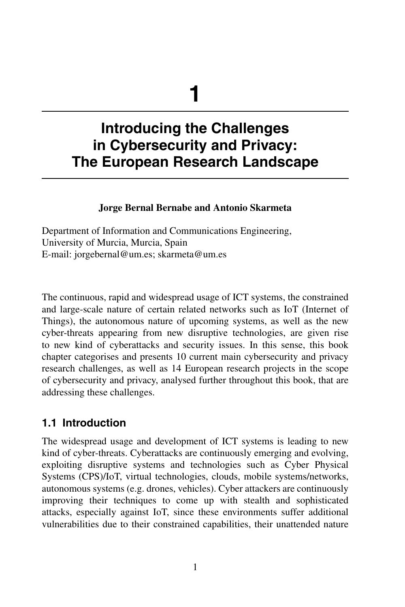# **1**

# **Introducing the Challenges in Cybersecurity and Privacy: The European Research Landscape**

#### **Jorge Bernal Bernabe and Antonio Skarmeta**

Department of Information and Communications Engineering, University of Murcia, Murcia, Spain E-mail: jorgebernal@um.es; skarmeta@um.es

The continuous, rapid and widespread usage of ICT systems, the constrained and large-scale nature of certain related networks such as IoT (Internet of Things), the autonomous nature of upcoming systems, as well as the new cyber-threats appearing from new disruptive technologies, are given rise to new kind of cyberattacks and security issues. In this sense, this book chapter categorises and presents 10 current main cybersecurity and privacy research challenges, as well as 14 European research projects in the scope of cybersecurity and privacy, analysed further throughout this book, that are addressing these challenges.

# **1.1 Introduction**

The widespread usage and development of ICT systems is leading to new kind of cyber-threats. Cyberattacks are continuously emerging and evolving, exploiting disruptive systems and technologies such as Cyber Physical Systems (CPS)/IoT, virtual technologies, clouds, mobile systems/networks, autonomous systems (e.g. drones, vehicles). Cyber attackers are continuously improving their techniques to come up with stealth and sophisticated attacks, especially against IoT, since these environments suffer additional vulnerabilities due to their constrained capabilities, their unattended nature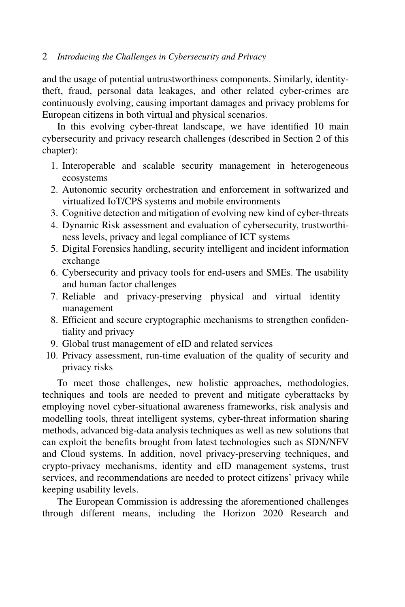and the usage of potential untrustworthiness components. Similarly, identitytheft, fraud, personal data leakages, and other related cyber-crimes are continuously evolving, causing important damages and privacy problems for European citizens in both virtual and physical scenarios.

In this evolving cyber-threat landscape, we have identified 10 main cybersecurity and privacy research challenges (described in Section 2 of this chapter):

- 1. Interoperable and scalable security management in heterogeneous ecosystems
- 2. Autonomic security orchestration and enforcement in softwarized and virtualized IoT/CPS systems and mobile environments
- 3. Cognitive detection and mitigation of evolving new kind of cyber-threats
- 4. Dynamic Risk assessment and evaluation of cybersecurity, trustworthiness levels, privacy and legal compliance of ICT systems
- 5. Digital Forensics handling, security intelligent and incident information exchange
- 6. Cybersecurity and privacy tools for end-users and SMEs. The usability and human factor challenges
- 7. Reliable and privacy-preserving physical and virtual identity management
- 8. Efficient and secure cryptographic mechanisms to strengthen confidentiality and privacy
- 9. Global trust management of eID and related services
- 10. Privacy assessment, run-time evaluation of the quality of security and privacy risks

To meet those challenges, new holistic approaches, methodologies, techniques and tools are needed to prevent and mitigate cyberattacks by employing novel cyber-situational awareness frameworks, risk analysis and modelling tools, threat intelligent systems, cyber-threat information sharing methods, advanced big-data analysis techniques as well as new solutions that can exploit the benefits brought from latest technologies such as SDN/NFV and Cloud systems. In addition, novel privacy-preserving techniques, and crypto-privacy mechanisms, identity and eID management systems, trust services, and recommendations are needed to protect citizens' privacy while keeping usability levels.

The European Commission is addressing the aforementioned challenges through different means, including the Horizon 2020 Research and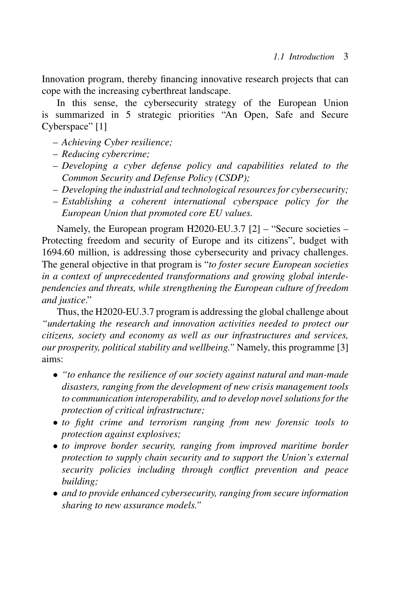Innovation program, thereby financing innovative research projects that can cope with the increasing cyberthreat landscape.

In this sense, the cybersecurity strategy of the European Union is summarized in 5 strategic priorities "An Open, Safe and Secure Cyberspace" [\[1\]](#page-18-0)

- *Achieving Cyber resilience;*
- *Reducing cybercrime;*
- *Developing a cyber defense policy and capabilities related to the Common Security and Defense Policy (CSDP);*
- *Developing the industrial and technological resources for cybersecurity;*
- *Establishing a coherent international cyberspace policy for the European Union that promoted core EU values.*

Namely, the European program H2020-EU.3.7 [\[2\]](#page-18-1) – "Secure societies – Protecting freedom and security of Europe and its citizens", budget with 1694.60 million, is addressing those cybersecurity and privacy challenges. The general objective in that program is "*to foster secure European societies in a context of unprecedented transformations and growing global interdependencies and threats, while strengthening the European culture of freedom and justice*."

Thus, the H2020-EU.3.7 program is addressing the global challenge about *"undertaking the research and innovation activities needed to protect our citizens, society and economy as well as our infrastructures and services, our prosperity, political stability and wellbeing."* Namely, this programme [\[3\]](#page-18-2) aims:

- *"to enhance the resilience of our society against natural and man-made disasters, ranging from the development of new crisis management tools to communication interoperability, and to develop novel solutions for the protection of critical infrastructure;*
- *to fight crime and terrorism ranging from new forensic tools to protection against explosives;*
- *to improve border security, ranging from improved maritime border protection to supply chain security and to support the Union's external security policies including through conflict prevention and peace building;*
- *and to provide enhanced cybersecurity, ranging from secure information sharing to new assurance models."*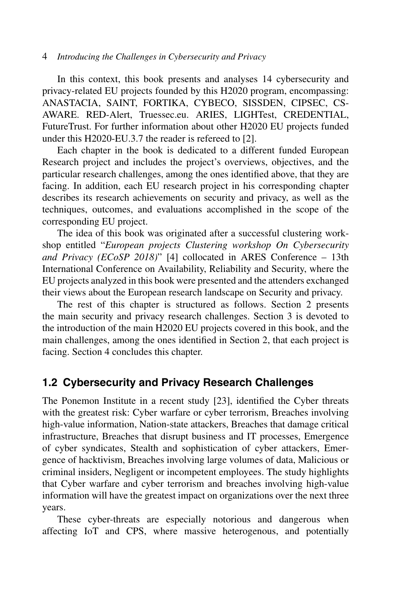In this context, this book presents and analyses 14 cybersecurity and privacy-related EU projects founded by this H2020 program, encompassing: ANASTACIA, SAINT, FORTIKA, CYBECO, SISSDEN, CIPSEC, CS-AWARE. RED-Alert, Truessec.eu. ARIES, LIGHTest, CREDENTIAL, FutureTrust. For further information about other H2020 EU projects funded under this H2020-EU.3.7 the reader is refereed to [\[2\]](#page-18-1).

Each chapter in the book is dedicated to a different funded European Research project and includes the project's overviews, objectives, and the particular research challenges, among the ones identified above, that they are facing. In addition, each EU research project in his corresponding chapter describes its research achievements on security and privacy, as well as the techniques, outcomes, and evaluations accomplished in the scope of the corresponding EU project.

The idea of this book was originated after a successful clustering workshop entitled "*European projects Clustering workshop On Cybersecurity and Privacy (ECoSP 2018)*" [\[4\]](#page-18-3) collocated in ARES Conference – 13th International Conference on Availability, Reliability and Security, where the EU projects analyzed in this book were presented and the attenders exchanged their views about the European research landscape on Security and privacy.

The rest of this chapter is structured as follows. Section 2 presents the main security and privacy research challenges. Section 3 is devoted to the introduction of the main H2020 EU projects covered in this book, and the main challenges, among the ones identified in Section 2, that each project is facing. Section 4 concludes this chapter.

# **1.2 Cybersecurity and Privacy Research Challenges**

The Ponemon Institute in a recent study [\[23\]](#page-19-0), identified the Cyber threats with the greatest risk: Cyber warfare or cyber terrorism, Breaches involving high-value information, Nation-state attackers, Breaches that damage critical infrastructure, Breaches that disrupt business and IT processes, Emergence of cyber syndicates, Stealth and sophistication of cyber attackers, Emergence of hacktivism, Breaches involving large volumes of data, Malicious or criminal insiders, Negligent or incompetent employees. The study highlights that Cyber warfare and cyber terrorism and breaches involving high-value information will have the greatest impact on organizations over the next three years.

These cyber-threats are especially notorious and dangerous when affecting IoT and CPS, where massive heterogenous, and potentially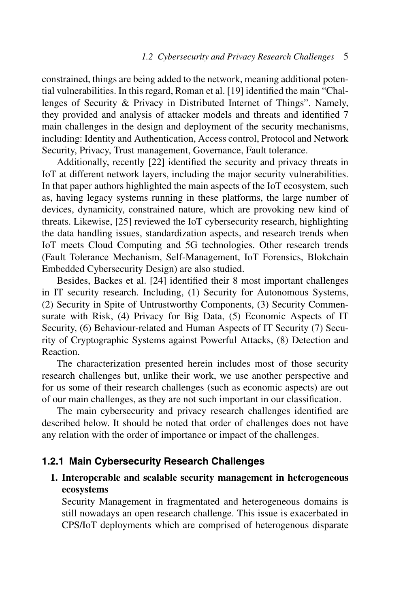constrained, things are being added to the network, meaning additional potential vulnerabilities. In this regard, Roman et al. [\[19\]](#page-19-1) identified the main "Challenges of Security & Privacy in Distributed Internet of Things". Namely, they provided and analysis of attacker models and threats and identified 7 main challenges in the design and deployment of the security mechanisms, including: Identity and Authentication, Access control, Protocol and Network Security, Privacy, Trust management, Governance, Fault tolerance.

Additionally, recently [\[22\]](#page-19-2) identified the security and privacy threats in IoT at different network layers, including the major security vulnerabilities. In that paper authors highlighted the main aspects of the IoT ecosystem, such as, having legacy systems running in these platforms, the large number of devices, dynamicity, constrained nature, which are provoking new kind of threats. Likewise, [\[25\]](#page-20-0) reviewed the IoT cybersecurity research, highlighting the data handling issues, standardization aspects, and research trends when IoT meets Cloud Computing and 5G technologies. Other research trends (Fault Tolerance Mechanism, Self-Management, IoT Forensics, Blokchain Embedded Cybersecurity Design) are also studied.

Besides, Backes et al. [\[24\]](#page-20-1) identified their 8 most important challenges in IT security research. Including, (1) Security for Autonomous Systems, (2) Security in Spite of Untrustworthy Components, (3) Security Commensurate with Risk, (4) Privacy for Big Data, (5) Economic Aspects of IT Security, (6) Behaviour-related and Human Aspects of IT Security (7) Security of Cryptographic Systems against Powerful Attacks, (8) Detection and Reaction.

The characterization presented herein includes most of those security research challenges but, unlike their work, we use another perspective and for us some of their research challenges (such as economic aspects) are out of our main challenges, as they are not such important in our classification.

The main cybersecurity and privacy research challenges identified are described below. It should be noted that order of challenges does not have any relation with the order of importance or impact of the challenges.

#### **1.2.1 Main Cybersecurity Research Challenges**

**1. Interoperable and scalable security management in heterogeneous ecosystems**

Security Management in fragmentated and heterogeneous domains is still nowadays an open research challenge. This issue is exacerbated in CPS/IoT deployments which are comprised of heterogenous disparate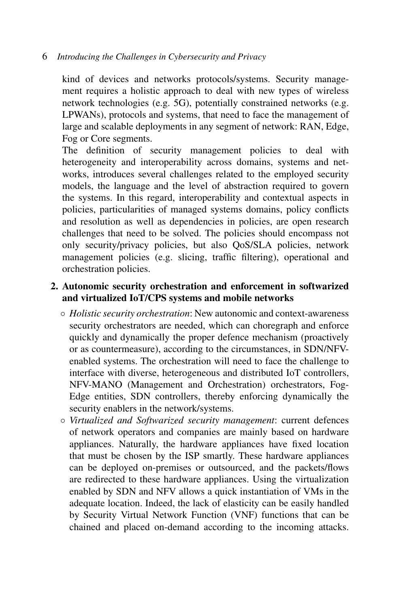kind of devices and networks protocols/systems. Security management requires a holistic approach to deal with new types of wireless network technologies (e.g. 5G), potentially constrained networks (e.g. LPWANs), protocols and systems, that need to face the management of large and scalable deployments in any segment of network: RAN, Edge, Fog or Core segments.

The definition of security management policies to deal with heterogeneity and interoperability across domains, systems and networks, introduces several challenges related to the employed security models, the language and the level of abstraction required to govern the systems. In this regard, interoperability and contextual aspects in policies, particularities of managed systems domains, policy conflicts and resolution as well as dependencies in policies, are open research challenges that need to be solved. The policies should encompass not only security/privacy policies, but also QoS/SLA policies, network management policies (e.g. slicing, traffic filtering), operational and orchestration policies.

## **2. Autonomic security orchestration and enforcement in softwarized and virtualized IoT/CPS systems and mobile networks**

- *Holistic security orchestration*: New autonomic and context-awareness security orchestrators are needed, which can choregraph and enforce quickly and dynamically the proper defence mechanism (proactively or as countermeasure), according to the circumstances, in SDN/NFVenabled systems. The orchestration will need to face the challenge to interface with diverse, heterogeneous and distributed IoT controllers, NFV-MANO (Management and Orchestration) orchestrators, Fog-Edge entities, SDN controllers, thereby enforcing dynamically the security enablers in the network/systems.
- *Virtualized and Softwarized security management*: current defences of network operators and companies are mainly based on hardware appliances. Naturally, the hardware appliances have fixed location that must be chosen by the ISP smartly. These hardware appliances can be deployed on-premises or outsourced, and the packets/flows are redirected to these hardware appliances. Using the virtualization enabled by SDN and NFV allows a quick instantiation of VMs in the adequate location. Indeed, the lack of elasticity can be easily handled by Security Virtual Network Function (VNF) functions that can be chained and placed on-demand according to the incoming attacks.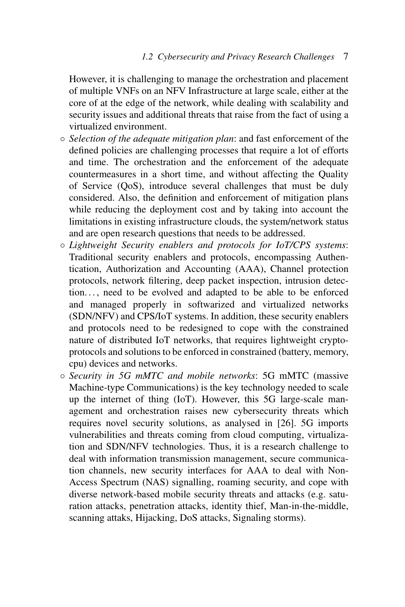However, it is challenging to manage the orchestration and placement of multiple VNFs on an NFV Infrastructure at large scale, either at the core of at the edge of the network, while dealing with scalability and security issues and additional threats that raise from the fact of using a virtualized environment.

- *Selection of the adequate mitigation plan*: and fast enforcement of the defined policies are challenging processes that require a lot of efforts and time. The orchestration and the enforcement of the adequate countermeasures in a short time, and without affecting the Quality of Service (QoS), introduce several challenges that must be duly considered. Also, the definition and enforcement of mitigation plans while reducing the deployment cost and by taking into account the limitations in existing infrastructure clouds, the system/network status and are open research questions that needs to be addressed.
- *Lightweight Security enablers and protocols for IoT/CPS systems*: Traditional security enablers and protocols, encompassing Authentication, Authorization and Accounting (AAA), Channel protection protocols, network filtering, deep packet inspection, intrusion detection..., need to be evolved and adapted to be able to be enforced and managed properly in softwarized and virtualized networks (SDN/NFV) and CPS/IoT systems. In addition, these security enablers and protocols need to be redesigned to cope with the constrained nature of distributed IoT networks, that requires lightweight cryptoprotocols and solutions to be enforced in constrained (battery, memory, cpu) devices and networks.
- *Security in 5G mMTC and mobile networks*: 5G mMTC (massive Machine-type Communications) is the key technology needed to scale up the internet of thing (IoT). However, this 5G large-scale management and orchestration raises new cybersecurity threats which requires novel security solutions, as analysed in [\[26\]](#page-20-2). 5G imports vulnerabilities and threats coming from cloud computing, virtualization and SDN/NFV technologies. Thus, it is a research challenge to deal with information transmission management, secure communication channels, new security interfaces for AAA to deal with Non-Access Spectrum (NAS) signalling, roaming security, and cope with diverse network-based mobile security threats and attacks (e.g. saturation attacks, penetration attacks, identity thief, Man-in-the-middle, scanning attaks, Hijacking, DoS attacks, Signaling storms).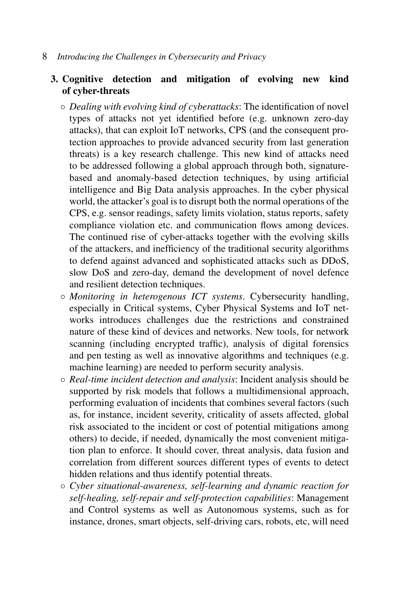#### **3. Cognitive detection and mitigation of evolving new kind of cyber-threats**

- *Dealing with evolving kind of cyberattacks*: The identification of novel types of attacks not yet identified before (e.g. unknown zero-day attacks), that can exploit IoT networks, CPS (and the consequent protection approaches to provide advanced security from last generation threats) is a key research challenge. This new kind of attacks need to be addressed following a global approach through both, signaturebased and anomaly-based detection techniques, by using artificial intelligence and Big Data analysis approaches. In the cyber physical world, the attacker's goal is to disrupt both the normal operations of the CPS, e.g. sensor readings, safety limits violation, status reports, safety compliance violation etc. and communication flows among devices. The continued rise of cyber-attacks together with the evolving skills of the attackers, and inefficiency of the traditional security algorithms to defend against advanced and sophisticated attacks such as DDoS, slow DoS and zero-day, demand the development of novel defence and resilient detection techniques.
- *Monitoring in heterogenous ICT systems*. Cybersecurity handling, especially in Critical systems, Cyber Physical Systems and IoT networks introduces challenges due the restrictions and constrained nature of these kind of devices and networks. New tools, for network scanning (including encrypted traffic), analysis of digital forensics and pen testing as well as innovative algorithms and techniques (e.g. machine learning) are needed to perform security analysis.
- *Real-time incident detection and analysis*: Incident analysis should be supported by risk models that follows a multidimensional approach, performing evaluation of incidents that combines several factors (such as, for instance, incident severity, criticality of assets affected, global risk associated to the incident or cost of potential mitigations among others) to decide, if needed, dynamically the most convenient mitigation plan to enforce. It should cover, threat analysis, data fusion and correlation from different sources different types of events to detect hidden relations and thus identify potential threats.
- *Cyber situational-awareness, self-learning and dynamic reaction for self-healing, self-repair and self-protection capabilities*: Management and Control systems as well as Autonomous systems, such as for instance, drones, smart objects, self-driving cars, robots, etc, will need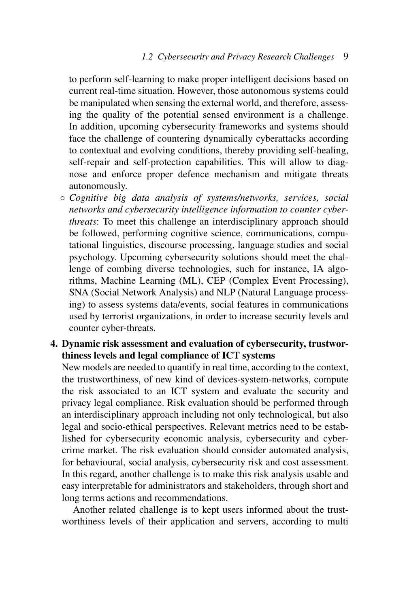to perform self-learning to make proper intelligent decisions based on current real-time situation. However, those autonomous systems could be manipulated when sensing the external world, and therefore, assessing the quality of the potential sensed environment is a challenge. In addition, upcoming cybersecurity frameworks and systems should face the challenge of countering dynamically cyberattacks according to contextual and evolving conditions, thereby providing self-healing, self-repair and self-protection capabilities. This will allow to diagnose and enforce proper defence mechanism and mitigate threats autonomously.

◦ *Cognitive big data analysis of systems/networks, services, social networks and cybersecurity intelligence information to counter cyberthreats*: To meet this challenge an interdisciplinary approach should be followed, performing cognitive science, communications, computational linguistics, discourse processing, language studies and social psychology. Upcoming cybersecurity solutions should meet the challenge of combing diverse technologies, such for instance, IA algorithms, Machine Learning (ML), CEP (Complex Event Processing), SNA (Social Network Analysis) and NLP (Natural Language processing) to assess systems data/events, social features in communications used by terrorist organizations, in order to increase security levels and counter cyber-threats.

#### **4. Dynamic risk assessment and evaluation of cybersecurity, trustworthiness levels and legal compliance of ICT systems**

New models are needed to quantify in real time, according to the context, the trustworthiness, of new kind of devices-system-networks, compute the risk associated to an ICT system and evaluate the security and privacy legal compliance. Risk evaluation should be performed through an interdisciplinary approach including not only technological, but also legal and socio-ethical perspectives. Relevant metrics need to be established for cybersecurity economic analysis, cybersecurity and cybercrime market. The risk evaluation should consider automated analysis, for behavioural, social analysis, cybersecurity risk and cost assessment. In this regard, another challenge is to make this risk analysis usable and easy interpretable for administrators and stakeholders, through short and long terms actions and recommendations.

Another related challenge is to kept users informed about the trustworthiness levels of their application and servers, according to multi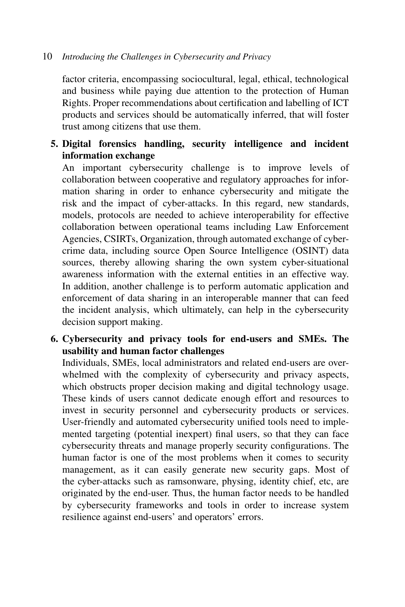factor criteria, encompassing sociocultural, legal, ethical, technological and business while paying due attention to the protection of Human Rights. Proper recommendations about certification and labelling of ICT products and services should be automatically inferred, that will foster trust among citizens that use them.

## **5. Digital forensics handling, security intelligence and incident information exchange**

An important cybersecurity challenge is to improve levels of collaboration between cooperative and regulatory approaches for information sharing in order to enhance cybersecurity and mitigate the risk and the impact of cyber-attacks. In this regard, new standards, models, protocols are needed to achieve interoperability for effective collaboration between operational teams including Law Enforcement Agencies, CSIRTs, Organization, through automated exchange of cybercrime data, including source Open Source Intelligence (OSINT) data sources, thereby allowing sharing the own system cyber-situational awareness information with the external entities in an effective way. In addition, another challenge is to perform automatic application and enforcement of data sharing in an interoperable manner that can feed the incident analysis, which ultimately, can help in the cybersecurity decision support making.

#### **6. Cybersecurity and privacy tools for end-users and SMEs. The usability and human factor challenges**

Individuals, SMEs, local administrators and related end-users are overwhelmed with the complexity of cybersecurity and privacy aspects, which obstructs proper decision making and digital technology usage. These kinds of users cannot dedicate enough effort and resources to invest in security personnel and cybersecurity products or services. User-friendly and automated cybersecurity unified tools need to implemented targeting (potential inexpert) final users, so that they can face cybersecurity threats and manage properly security configurations. The human factor is one of the most problems when it comes to security management, as it can easily generate new security gaps. Most of the cyber-attacks such as ramsonware, physing, identity chief, etc, are originated by the end-user. Thus, the human factor needs to be handled by cybersecurity frameworks and tools in order to increase system resilience against end-users' and operators' errors.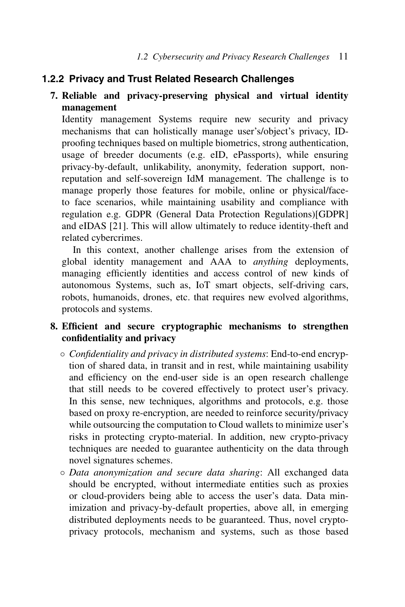# **1.2.2 Privacy and Trust Related Research Challenges**

**7. Reliable and privacy-preserving physical and virtual identity management**

Identity management Systems require new security and privacy mechanisms that can holistically manage user's/object's privacy, IDproofing techniques based on multiple biometrics, strong authentication, usage of breeder documents (e.g. eID, ePassports), while ensuring privacy-by-default, unlikability, anonymity, federation support, nonreputation and self-sovereign IdM management. The challenge is to manage properly those features for mobile, online or physical/faceto face scenarios, while maintaining usability and compliance with regulation e.g. GDPR (General Data Protection Regulations)[GDPR] and eIDAS [\[21\]](#page-19-3). This will allow ultimately to reduce identity-theft and related cybercrimes.

In this context, another challenge arises from the extension of global identity management and AAA to *anything* deployments, managing efficiently identities and access control of new kinds of autonomous Systems, such as, IoT smart objects, self-driving cars, robots, humanoids, drones, etc. that requires new evolved algorithms, protocols and systems.

# **8. Efficient and secure cryptographic mechanisms to strengthen confidentiality and privacy**

- *Confidentiality and privacy in distributed systems*: End-to-end encryption of shared data, in transit and in rest, while maintaining usability and efficiency on the end-user side is an open research challenge that still needs to be covered effectively to protect user's privacy. In this sense, new techniques, algorithms and protocols, e.g. those based on proxy re-encryption, are needed to reinforce security/privacy while outsourcing the computation to Cloud wallets to minimize user's risks in protecting crypto-material. In addition, new crypto-privacy techniques are needed to guarantee authenticity on the data through novel signatures schemes.
- *Data anonymization and secure data sharing*: All exchanged data should be encrypted, without intermediate entities such as proxies or cloud-providers being able to access the user's data. Data minimization and privacy-by-default properties, above all, in emerging distributed deployments needs to be guaranteed. Thus, novel cryptoprivacy protocols, mechanism and systems, such as those based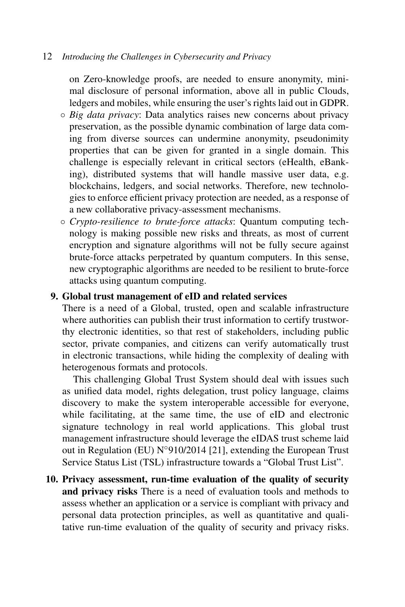on Zero-knowledge proofs, are needed to ensure anonymity, minimal disclosure of personal information, above all in public Clouds, ledgers and mobiles, while ensuring the user's rights laid out in GDPR.

- *Big data privacy*: Data analytics raises new concerns about privacy preservation, as the possible dynamic combination of large data coming from diverse sources can undermine anonymity, pseudonimity properties that can be given for granted in a single domain. This challenge is especially relevant in critical sectors (eHealth, eBanking), distributed systems that will handle massive user data, e.g. blockchains, ledgers, and social networks. Therefore, new technologies to enforce efficient privacy protection are needed, as a response of a new collaborative privacy-assessment mechanisms.
- *Crypto-resilience to brute-force attacks*: Quantum computing technology is making possible new risks and threats, as most of current encryption and signature algorithms will not be fully secure against brute-force attacks perpetrated by quantum computers. In this sense, new cryptographic algorithms are needed to be resilient to brute-force attacks using quantum computing.

#### **9. Global trust management of eID and related services**

There is a need of a Global, trusted, open and scalable infrastructure where authorities can publish their trust information to certify trustworthy electronic identities, so that rest of stakeholders, including public sector, private companies, and citizens can verify automatically trust in electronic transactions, while hiding the complexity of dealing with heterogenous formats and protocols.

This challenging Global Trust System should deal with issues such as unified data model, rights delegation, trust policy language, claims discovery to make the system interoperable accessible for everyone, while facilitating, at the same time, the use of eID and electronic signature technology in real world applications. This global trust management infrastructure should leverage the eIDAS trust scheme laid out in Regulation (EU)  $N°910/2014$  [\[21\]](#page-19-3), extending the European Trust Service Status List (TSL) infrastructure towards a "Global Trust List".

**10. Privacy assessment, run-time evaluation of the quality of security and privacy risks** There is a need of evaluation tools and methods to assess whether an application or a service is compliant with privacy and personal data protection principles, as well as quantitative and qualitative run-time evaluation of the quality of security and privacy risks.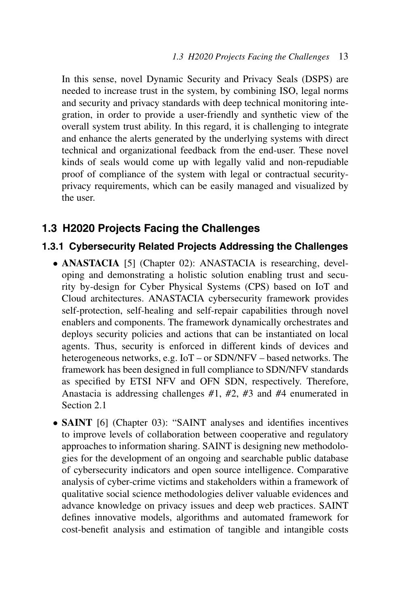In this sense, novel Dynamic Security and Privacy Seals (DSPS) are needed to increase trust in the system, by combining ISO, legal norms and security and privacy standards with deep technical monitoring integration, in order to provide a user-friendly and synthetic view of the overall system trust ability. In this regard, it is challenging to integrate and enhance the alerts generated by the underlying systems with direct technical and organizational feedback from the end-user. These novel kinds of seals would come up with legally valid and non-repudiable proof of compliance of the system with legal or contractual securityprivacy requirements, which can be easily managed and visualized by the user.

# **1.3 H2020 Projects Facing the Challenges**

#### **1.3.1 Cybersecurity Related Projects Addressing the Challenges**

- **ANASTACIA** [\[5\]](#page-18-4) (Chapter 02): ANASTACIA is researching, developing and demonstrating a holistic solution enabling trust and security by-design for Cyber Physical Systems (CPS) based on IoT and Cloud architectures. ANASTACIA cybersecurity framework provides self-protection, self-healing and self-repair capabilities through novel enablers and components. The framework dynamically orchestrates and deploys security policies and actions that can be instantiated on local agents. Thus, security is enforced in different kinds of devices and heterogeneous networks, e.g. IoT – or SDN/NFV – based networks. The framework has been designed in full compliance to SDN/NFV standards as specified by ETSI NFV and OFN SDN, respectively. Therefore, Anastacia is addressing challenges #1, #2, #3 and #4 enumerated in Section 2.1
- **SAINT** [\[6\]](#page-18-5) (Chapter 03): "SAINT analyses and identifies incentives to improve levels of collaboration between cooperative and regulatory approaches to information sharing. SAINT is designing new methodologies for the development of an ongoing and searchable public database of cybersecurity indicators and open source intelligence. Comparative analysis of cyber-crime victims and stakeholders within a framework of qualitative social science methodologies deliver valuable evidences and advance knowledge on privacy issues and deep web practices. SAINT defines innovative models, algorithms and automated framework for cost-benefit analysis and estimation of tangible and intangible costs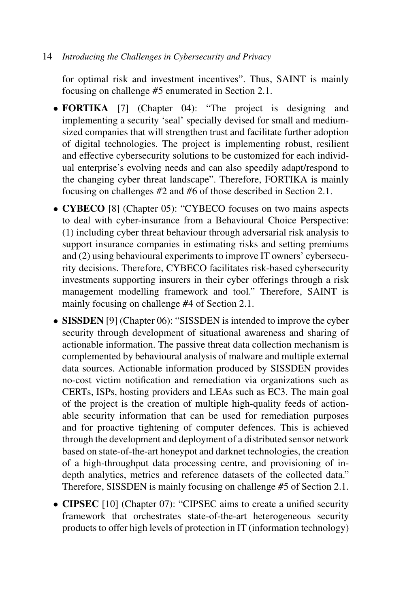for optimal risk and investment incentives". Thus, SAINT is mainly focusing on challenge #5 enumerated in Section 2.1.

- **FORTIKA** [\[7\]](#page-18-6) (Chapter 04): "The project is designing and implementing a security 'seal' specially devised for small and mediumsized companies that will strengthen trust and facilitate further adoption of digital technologies. The project is implementing robust, resilient and effective cybersecurity solutions to be customized for each individual enterprise's evolving needs and can also speedily adapt/respond to the changing cyber threat landscape". Therefore, FORTIKA is mainly focusing on challenges #2 and #6 of those described in Section 2.1.
- **CYBECO** [\[8\]](#page-18-7) (Chapter 05): "CYBECO focuses on two mains aspects to deal with cyber-insurance from a Behavioural Choice Perspective: (1) including cyber threat behaviour through adversarial risk analysis to support insurance companies in estimating risks and setting premiums and (2) using behavioural experiments to improve IT owners' cybersecurity decisions. Therefore, CYBECO facilitates risk-based cybersecurity investments supporting insurers in their cyber offerings through a risk management modelling framework and tool." Therefore, SAINT is mainly focusing on challenge #4 of Section 2.1.
- **SISSDEN** [\[9\]](#page-18-8) (Chapter 06): "SISSDEN is intended to improve the cyber security through development of situational awareness and sharing of actionable information. The passive threat data collection mechanism is complemented by behavioural analysis of malware and multiple external data sources. Actionable information produced by SISSDEN provides no-cost victim notification and remediation via organizations such as CERTs, ISPs, hosting providers and LEAs such as EC3. The main goal of the project is the creation of multiple high-quality feeds of actionable security information that can be used for remediation purposes and for proactive tightening of computer defences. This is achieved through the development and deployment of a distributed sensor network based on state-of-the-art honeypot and darknet technologies, the creation of a high-throughput data processing centre, and provisioning of indepth analytics, metrics and reference datasets of the collected data." Therefore, SISSDEN is mainly focusing on challenge #5 of Section 2.1.
- **CIPSEC** [\[10\]](#page-18-9) (Chapter 07): "CIPSEC aims to create a unified security framework that orchestrates state-of-the-art heterogeneous security products to offer high levels of protection in IT (information technology)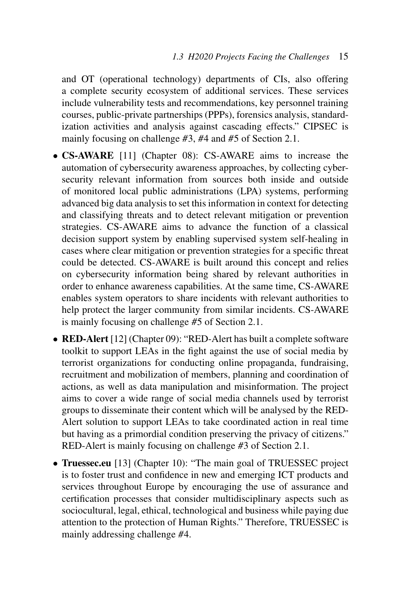and OT (operational technology) departments of CIs, also offering a complete security ecosystem of additional services. These services include vulnerability tests and recommendations, key personnel training courses, public-private partnerships (PPPs), forensics analysis, standardization activities and analysis against cascading effects." CIPSEC is mainly focusing on challenge #3, #4 and #5 of Section 2.1.

- **CS-AWARE** [\[11\]](#page-18-10) (Chapter 08): CS-AWARE aims to increase the automation of cybersecurity awareness approaches, by collecting cybersecurity relevant information from sources both inside and outside of monitored local public administrations (LPA) systems, performing advanced big data analysis to set this information in context for detecting and classifying threats and to detect relevant mitigation or prevention strategies. CS-AWARE aims to advance the function of a classical decision support system by enabling supervised system self-healing in cases where clear mitigation or prevention strategies for a specific threat could be detected. CS-AWARE is built around this concept and relies on cybersecurity information being shared by relevant authorities in order to enhance awareness capabilities. At the same time, CS-AWARE enables system operators to share incidents with relevant authorities to help protect the larger community from similar incidents. CS-AWARE is mainly focusing on challenge #5 of Section 2.1.
- **RED-Alert** [\[12\]](#page-19-4) (Chapter 09): "RED-Alert has built a complete software toolkit to support LEAs in the fight against the use of social media by terrorist organizations for conducting online propaganda, fundraising, recruitment and mobilization of members, planning and coordination of actions, as well as data manipulation and misinformation. The project aims to cover a wide range of social media channels used by terrorist groups to disseminate their content which will be analysed by the RED-Alert solution to support LEAs to take coordinated action in real time but having as a primordial condition preserving the privacy of citizens." RED-Alert is mainly focusing on challenge #3 of Section 2.1.
- **Truessec.eu** [\[13\]](#page-19-5) (Chapter 10): "The main goal of TRUESSEC project is to foster trust and confidence in new and emerging ICT products and services throughout Europe by encouraging the use of assurance and certification processes that consider multidisciplinary aspects such as sociocultural, legal, ethical, technological and business while paying due attention to the protection of Human Rights." Therefore, TRUESSEC is mainly addressing challenge #4.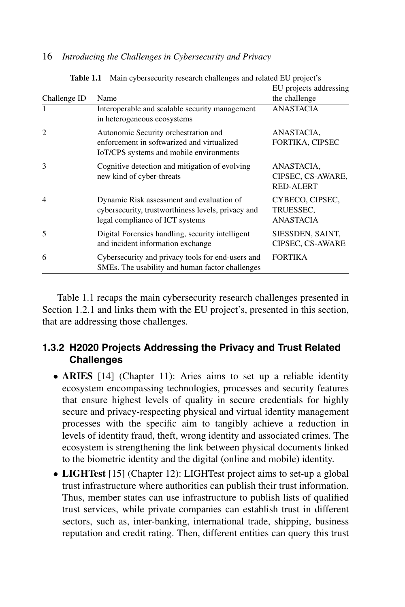| 16 Introducing the Challenges in Cybersecurity and Privacy |  |  |  |  |  |  |
|------------------------------------------------------------|--|--|--|--|--|--|
|------------------------------------------------------------|--|--|--|--|--|--|

|                |                                                                                                                                    | EU projects addressing                              |
|----------------|------------------------------------------------------------------------------------------------------------------------------------|-----------------------------------------------------|
| Challenge ID   | Name                                                                                                                               | the challenge                                       |
|                | Interoperable and scalable security management<br>in heterogeneous ecosystems                                                      | <b>ANASTACIA</b>                                    |
| $\overline{2}$ | Autonomic Security orchestration and<br>enforcement in softwarized and virtualized<br>IoT/CPS systems and mobile environments      | ANASTACIA.<br>FORTIKA, CIPSEC                       |
| $\mathcal{F}$  | Cognitive detection and mitigation of evolving<br>new kind of cyber-threats                                                        | ANASTACIA,<br>CIPSEC, CS-AWARE,<br><b>RED-ALERT</b> |
| $\overline{4}$ | Dynamic Risk assessment and evaluation of<br>cybersecurity, trustworthiness levels, privacy and<br>legal compliance of ICT systems | CYBECO, CIPSEC,<br>TRUESSEC,<br>ANASTACIA           |
| 5              | Digital Forensics handling, security intelligent<br>and incident information exchange                                              | SIESSDEN, SAINT,<br>CIPSEC, CS-AWARE                |
| 6              | Cybersecurity and privacy tools for end-users and<br>SMEs. The usability and human factor challenges                               | <b>FORTIKA</b>                                      |

**Table 1.1** Main cybersecurity research challenges and related EU project's

Table 1.1 recaps the main cybersecurity research challenges presented in Section 1.2.1 and links them with the EU project's, presented in this section, that are addressing those challenges.

# **1.3.2 H2020 Projects Addressing the Privacy and Trust Related Challenges**

- **ARIES** [\[14\]](#page-19-6) (Chapter 11): Aries aims to set up a reliable identity ecosystem encompassing technologies, processes and security features that ensure highest levels of quality in secure credentials for highly secure and privacy-respecting physical and virtual identity management processes with the specific aim to tangibly achieve a reduction in levels of identity fraud, theft, wrong identity and associated crimes. The ecosystem is strengthening the link between physical documents linked to the biometric identity and the digital (online and mobile) identity.
- **LIGHTest** [\[15\]](#page-19-7) (Chapter 12): LIGHTest project aims to set-up a global trust infrastructure where authorities can publish their trust information. Thus, member states can use infrastructure to publish lists of qualified trust services, while private companies can establish trust in different sectors, such as, inter-banking, international trade, shipping, business reputation and credit rating. Then, different entities can query this trust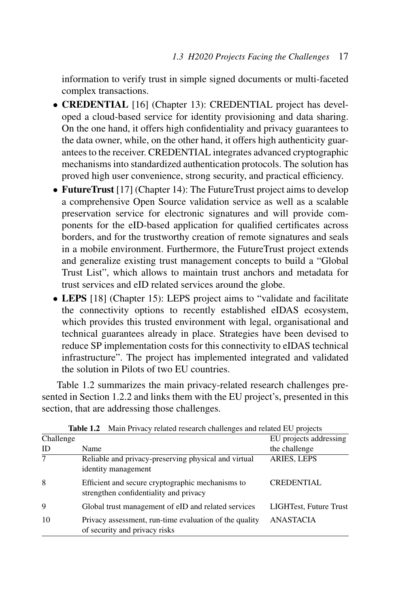information to verify trust in simple signed documents or multi-faceted complex transactions.

- **CREDENTIAL** [\[16\]](#page-19-8) (Chapter 13): CREDENTIAL project has developed a cloud-based service for identity provisioning and data sharing. On the one hand, it offers high confidentiality and privacy guarantees to the data owner, while, on the other hand, it offers high authenticity guarantees to the receiver. CREDENTIAL integrates advanced cryptographic mechanisms into standardized authentication protocols. The solution has proved high user convenience, strong security, and practical efficiency.
- **FutureTrust** [\[17\]](#page-19-9) (Chapter 14): The FutureTrust project aims to develop a comprehensive Open Source validation service as well as a scalable preservation service for electronic signatures and will provide components for the eID-based application for qualified certificates across borders, and for the trustworthy creation of remote signatures and seals in a mobile environment. Furthermore, the FutureTrust project extends and generalize existing trust management concepts to build a "Global Trust List", which allows to maintain trust anchors and metadata for trust services and eID related services around the globe.
- **LEPS** [\[18\]](#page-19-10) (Chapter 15): LEPS project aims to "validate and facilitate the connectivity options to recently established eIDAS ecosystem, which provides this trusted environment with legal, organisational and technical guarantees already in place. Strategies have been devised to reduce SP implementation costs for this connectivity to eIDAS technical infrastructure". The project has implemented integrated and validated the solution in Pilots of two EU countries.

Table 1.2 summarizes the main privacy-related research challenges presented in Section 1.2.2 and links them with the EU project's, presented in this section, that are addressing those challenges.

| Challenge      |                                                                                            | EU projects addressing |  |  |  |
|----------------|--------------------------------------------------------------------------------------------|------------------------|--|--|--|
| ID             | Name                                                                                       | the challenge          |  |  |  |
| $\overline{7}$ | Reliable and privacy-preserving physical and virtual<br>identity management                | ARIES, LEPS            |  |  |  |
| 8              | Efficient and secure cryptographic mechanisms to<br>strengthen confidentiality and privacy | <b>CREDENTIAL</b>      |  |  |  |
| $\mathbf Q$    | Global trust management of eID and related services                                        | LIGHTest, Future Trust |  |  |  |
| 10             | Privacy assessment, run-time evaluation of the quality<br>of security and privacy risks    | <b>ANASTACIA</b>       |  |  |  |

**Table 1.2** Main Privacy related research challenges and related EU projects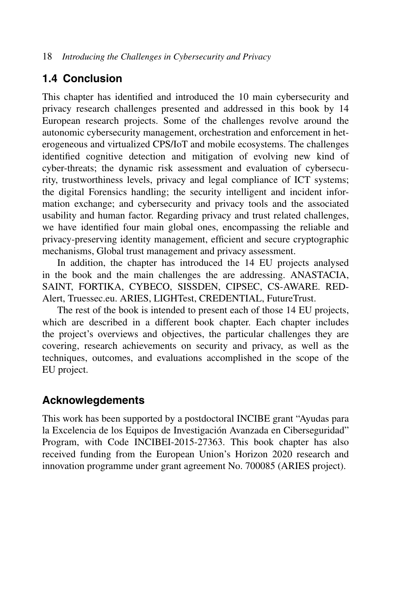# **1.4 Conclusion**

This chapter has identified and introduced the 10 main cybersecurity and privacy research challenges presented and addressed in this book by 14 European research projects. Some of the challenges revolve around the autonomic cybersecurity management, orchestration and enforcement in heterogeneous and virtualized CPS/IoT and mobile ecosystems. The challenges identified cognitive detection and mitigation of evolving new kind of cyber-threats; the dynamic risk assessment and evaluation of cybersecurity, trustworthiness levels, privacy and legal compliance of ICT systems; the digital Forensics handling; the security intelligent and incident information exchange; and cybersecurity and privacy tools and the associated usability and human factor. Regarding privacy and trust related challenges, we have identified four main global ones, encompassing the reliable and privacy-preserving identity management, efficient and secure cryptographic mechanisms, Global trust management and privacy assessment.

In addition, the chapter has introduced the 14 EU projects analysed in the book and the main challenges the are addressing. ANASTACIA, SAINT, FORTIKA, CYBECO, SISSDEN, CIPSEC, CS-AWARE. RED-Alert, Truessec.eu. ARIES, LIGHTest, CREDENTIAL, FutureTrust.

The rest of the book is intended to present each of those 14 EU projects, which are described in a different book chapter. Each chapter includes the project's overviews and objectives, the particular challenges they are covering, research achievements on security and privacy, as well as the techniques, outcomes, and evaluations accomplished in the scope of the EU project.

# **Acknowlegdements**

This work has been supported by a postdoctoral INCIBE grant "Ayudas para la Excelencia de los Equipos de Investigación Avanzada en Ciberseguridad" Program, with Code INCIBEI-2015-27363. This book chapter has also received funding from the European Union's Horizon 2020 research and innovation programme under grant agreement No. 700085 (ARIES project).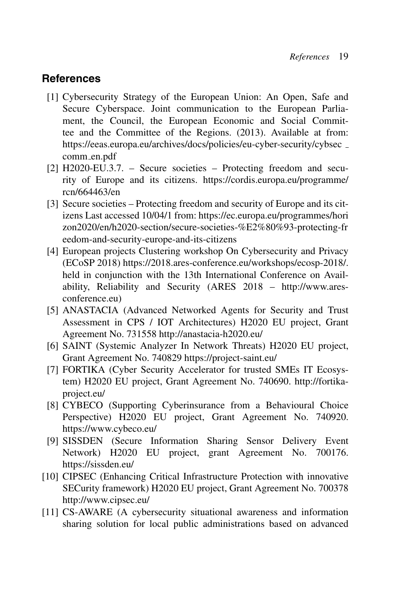# **References**

- <span id="page-18-0"></span>[1] Cybersecurity Strategy of the European Union: An Open, Safe and Secure Cyberspace. Joint communication to the European Parliament, the Council, the European Economic and Social Committee and the Committee of the Regions. (2013). Available at from: https://eeas.europa.eu/archives/docs/policies/eu-cyber-security/cybsec \_ comm en.pdf
- <span id="page-18-1"></span>[2] H2020-EU.3.7. – Secure societies – Protecting freedom and security of Europe and its citizens. https://cordis.europa.eu/programme/ rcn/664463/en
- <span id="page-18-2"></span>[3] Secure societies – Protecting freedom and security of Europe and its citizens Last accessed 10/04/1 from: https://ec.europa.eu/programmes/hori zon2020/en/h2020-section/secure-societies-%E2%80%93-protecting-fr eedom-and-security-europe-and-its-citizens
- <span id="page-18-3"></span>[4] European projects Clustering workshop On Cybersecurity and Privacy (ECoSP 2018) https://2018.ares-conference.eu/workshops/ecosp-2018/. held in conjunction with the 13th International Conference on Availability, Reliability and Security (ARES 2018 – http://www.aresconference.eu)
- <span id="page-18-4"></span>[5] ANASTACIA (Advanced Networked Agents for Security and Trust Assessment in CPS / IOT Architectures) H2020 EU project, Grant Agreement No. 731558 http://anastacia-h2020.eu/
- <span id="page-18-5"></span>[6] SAINT (Systemic Analyzer In Network Threats) H2020 EU project, Grant Agreement No. 740829 https://project-saint.eu/
- <span id="page-18-6"></span>[7] FORTIKA (Cyber Security Accelerator for trusted SMEs IT Ecosystem) H2020 EU project, Grant Agreement No. 740690. http://fortikaproject.eu/
- <span id="page-18-7"></span>[8] CYBECO (Supporting Cyberinsurance from a Behavioural Choice Perspective) H2020 EU project, Grant Agreement No. 740920. https://www.cybeco.eu/
- <span id="page-18-8"></span>[9] SISSDEN (Secure Information Sharing Sensor Delivery Event Network) H2020 EU project, grant Agreement No. 700176. https://sissden.eu/
- <span id="page-18-9"></span>[10] CIPSEC (Enhancing Critical Infrastructure Protection with innovative SECurity framework) H2020 EU project, Grant Agreement No. 700378 http://www.cipsec.eu/
- <span id="page-18-10"></span>[11] CS-AWARE (A cybersecurity situational awareness and information sharing solution for local public administrations based on advanced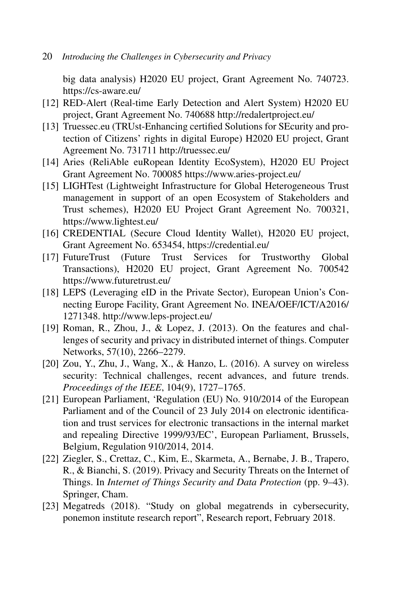big data analysis) H2020 EU project, Grant Agreement No. 740723. https://cs-aware.eu/

- <span id="page-19-4"></span>[12] RED-Alert (Real-time Early Detection and Alert System) H2020 EU project, Grant Agreement No. 740688 http://redalertproject.eu/
- <span id="page-19-5"></span>[13] Truessec.eu (TRUst-Enhancing certified Solutions for SEcurity and protection of Citizens' rights in digital Europe) H2020 EU project, Grant Agreement No. 731711 http://truessec.eu/
- <span id="page-19-6"></span>[14] Aries (ReliAble euRopean Identity EcoSystem), H2020 EU Project Grant Agreement No. 700085 https://www.aries-project.eu/
- <span id="page-19-7"></span>[15] LIGHTest (Lightweight Infrastructure for Global Heterogeneous Trust management in support of an open Ecosystem of Stakeholders and Trust schemes), H2020 EU Project Grant Agreement No. 700321, https://www.lightest.eu/
- <span id="page-19-8"></span>[16] CREDENTIAL (Secure Cloud Identity Wallet), H2020 EU project, Grant Agreement No. 653454, https://credential.eu/
- <span id="page-19-9"></span>[17] FutureTrust (Future Trust Services for Trustworthy Global Transactions), H2020 EU project, Grant Agreement No. 700542 https://www.futuretrust.eu/
- <span id="page-19-10"></span>[18] LEPS (Leveraging eID in the Private Sector), European Union's Connecting Europe Facility, Grant Agreement No. INEA/OEF/ICT/A2016/ 1271348. http://www.leps-project.eu/
- <span id="page-19-1"></span>[19] Roman, R., Zhou, J., & Lopez, J. (2013). On the features and challenges of security and privacy in distributed internet of things. Computer Networks, 57(10), 2266–2279.
- [20] Zou, Y., Zhu, J., Wang, X., & Hanzo, L. (2016). A survey on wireless security: Technical challenges, recent advances, and future trends. *Proceedings of the IEEE*, 104(9), 1727–1765.
- <span id="page-19-3"></span>[21] European Parliament, 'Regulation (EU) No. 910/2014 of the European Parliament and of the Council of 23 July 2014 on electronic identification and trust services for electronic transactions in the internal market and repealing Directive 1999/93/EC', European Parliament, Brussels, Belgium, Regulation 910/2014, 2014.
- <span id="page-19-2"></span>[22] Ziegler, S., Crettaz, C., Kim, E., Skarmeta, A., Bernabe, J. B., Trapero, R., & Bianchi, S. (2019). Privacy and Security Threats on the Internet of Things. In *Internet of Things Security and Data Protection* (pp. 9–43). Springer, Cham.
- <span id="page-19-0"></span>[23] Megatreds (2018). "Study on global megatrends in cybersecurity, ponemon institute research report", Research report, February 2018.